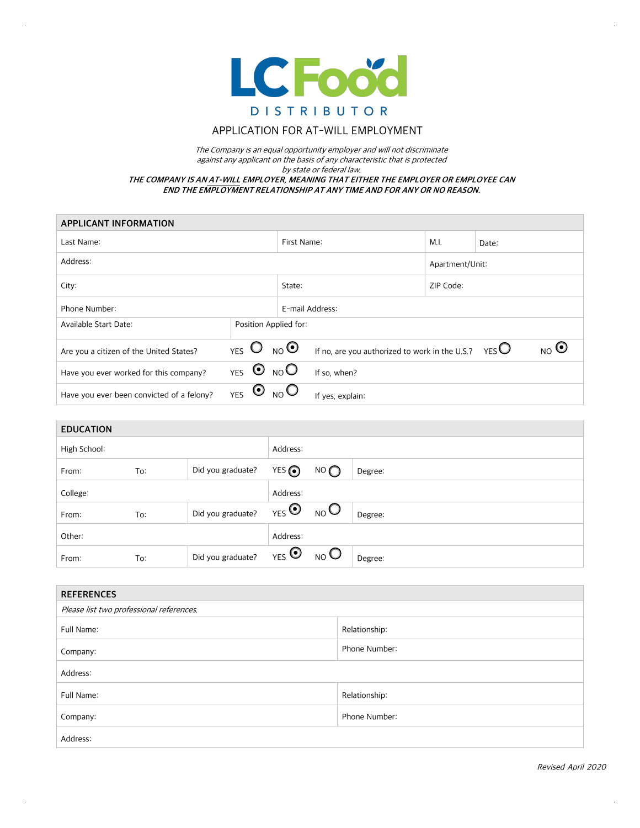

## APPLICATION FOR AT-WILL EMPLOYMENT

The Company is an equal opportunity employer and will not discriminate against any applicant on the basis of any characteristic that is protected by state or federal law. **THE COMPANY IS AN AT-WILL EMPLOYER, MEANING THAT EITHER THE EMPLOYER OR EMPLOYEE CAN END THE EMPLOYMENT RELATIONSHIP AT ANY TIME AND FOR ANY OR NO REASON.** 

| <b>APPLICANT INFORMATION</b>              |                                 |             |                                                |                 |                                       |  |  |
|-------------------------------------------|---------------------------------|-------------|------------------------------------------------|-----------------|---------------------------------------|--|--|
| Last Name:                                |                                 |             | First Name:                                    | M.I.            | Date:                                 |  |  |
| Address:                                  |                                 |             |                                                | Apartment/Unit: |                                       |  |  |
| City:                                     |                                 |             | State:                                         |                 | ZIP Code:                             |  |  |
| Phone Number:                             |                                 |             | E-mail Address:                                |                 |                                       |  |  |
| Available Start Date:                     | Position Applied for:           |             |                                                |                 |                                       |  |  |
| Are you a citizen of the United States?   | YES $O_{NO}$ O                  |             | If no, are you authorized to work in the U.S.? |                 | $_{\sf NO}$ $\bm{\odot}$<br>$YES$ $O$ |  |  |
| Have you ever worked for this company?    | YES $\bullet$ NO                |             | If so, when?                                   |                 |                                       |  |  |
| Have you ever been convicted of a felony? | $\mathbf{\Theta}$<br><b>YES</b> | $_{\sf NO}$ | If yes, explain:                               |                 |                                       |  |  |

| <b>EDUCATION</b> |     |                   |                      |                           |         |
|------------------|-----|-------------------|----------------------|---------------------------|---------|
| High School:     |     | Address:          |                      |                           |         |
| From:            | To: | Did you graduate? | YES O                | NO                        | Degree: |
| College:         |     |                   | Address:             |                           |         |
| From:            | To: | Did you graduate? | $_{\rm YES}$ $\odot$ | $_{\text{NO}}$ O          | Degree: |
| Other:           |     |                   | Address:             |                           |         |
| From:            | To: | Did you graduate? | $_{YES}$ $\odot$     | $_{\text{NO}}$ $\bigcirc$ | Degree: |

| <b>REFERENCES</b>                        |               |  |  |  |
|------------------------------------------|---------------|--|--|--|
| Please list two professional references. |               |  |  |  |
| Full Name:                               | Relationship: |  |  |  |
| Company:                                 | Phone Number: |  |  |  |
| Address:                                 |               |  |  |  |
| Full Name:                               | Relationship: |  |  |  |
| Company:                                 | Phone Number: |  |  |  |
| Address:                                 |               |  |  |  |

 $\bar{z}$